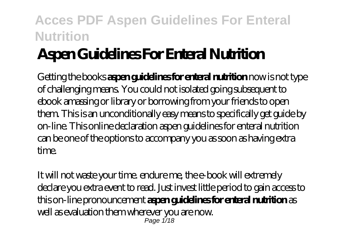# **Aspen Guidelines For Enteral Nutrition**

Getting the books **aspen guidelines for enteral nutrition** now is not type of challenging means. You could not isolated going subsequent to ebook amassing or library or borrowing from your friends to open them. This is an unconditionally easy means to specifically get guide by on-line. This online declaration aspen guidelines for enteral nutrition can be one of the options to accompany you as soon as having extra time.

It will not waste your time. endure me, the e-book will extremely declare you extra event to read. Just invest little period to gain access to this on-line pronouncement **aspen guidelines for enteral nutrition** as well as evaluation them wherever you are now. Page 1/18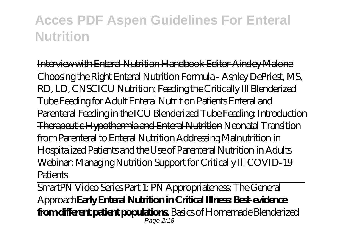Interview with Enteral Nutrition Handbook Editor Ainsley Malone Choosing the Right Enteral Nutrition Formula - Ashley DePriest, MS, RD, LD, CNSC*ICU Nutrition: Feeding the Critically Ill* Blenderized Tube Feeding for Adult Enteral Nutrition Patients *Enteral and Parenteral Feeding in the ICU* Blenderized Tube Feeding: Introduction Therapeutic Hypothermia and Enteral Nutrition Neonatal Transition from Parenteral to Enteral Nutrition Addressing Malnutrition in Hospitalized Patients and the Use of Parenteral Nutrition in Adults *Webinar: Managing Nutrition Support for Critically Ill COVID-19 Patients*

SmartPN Video Series Part 1: PN Appropriateness: The General Approach**Early Enteral Nutrition in Critical Illness: Best-evidence from different patient populations.** *Basics of Homemade Blenderized* Page 2/18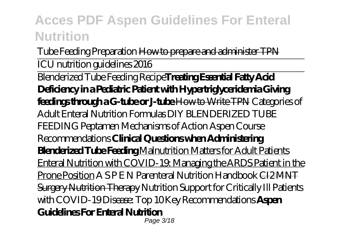*Tube Feeding Preparation* How to prepare and administer TPN

ICU nutrition guidelines 2016

Blenderized Tube Feeding Recipe**Treating Essential Fatty Acid Deficiency in a Pediatric Patient with Hypertriglyceridemia Giving feedings through a G-tube or J-tube How to Write TPN Categories of** Adult Enteral Nutrition Formulas *DIY BLENDERIZED TUBE FEEDING Peptamen Mechanisms of Action Aspen Course Recommendations* **Clinical Questions when Administering Blenderized Tube Feeding** Malnutrition Matters for Adult Patients Enteral Nutrition with COVID-19: Managing the ARDS Patient in the Prone Position *A S P E N Parenteral Nutrition Handbook* CI2 MNT Surgery Nutrition Therapy *Nutrition Support for Critically Ill Patients with COVID-19 Disease: Top 10 Key Recommendations* **Aspen Guidelines For Enteral Nutrition** Page 3/18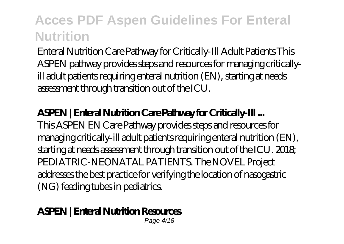Enteral Nutrition Care Pathway for Critically-Ill Adult Patients This ASPEN pathway provides steps and resources for managing criticallyill adult patients requiring enteral nutrition (EN), starting at needs assessment through transition out of the ICU.

#### **ASPEN | Enteral Nutrition Care Pathway for Critically-Ill ...**

This ASPEN EN Care Pathway provides steps and resources for managing critically-ill adult patients requiring enteral nutrition (EN), starting at needs assessment through transition out of the ICU. 2018; PEDIATRIC-NEONATAL PATIENTS. The NOVEL Project addresses the best practice for verifying the location of nasogastric (NG) feeding tubes in pediatrics.

#### **ASPEN | Enteral Nutrition Resources**

Page 4/18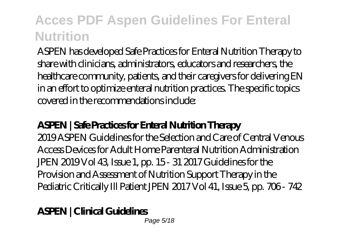ASPEN has developed Safe Practices for Enteral Nutrition Therapy to share with clinicians, administrators, educators and researchers, the healthcare community, patients, and their caregivers for delivering EN in an effort to optimize enteral nutrition practices. The specific topics covered in the recommendations include:

#### **ASPEN | Safe Practices for Enteral Nutrition Therapy**

2019 ASPEN Guidelines for the Selection and Care of Central Venous Access Devices for Adult Home Parenteral Nutrition Administration JPEN 2019 Vol 43, Issue 1, pp. 15 - 31 2017 Guidelines for the Provision and Assessment of Nutrition Support Therapy in the Pediatric Critically Ill Patient JPEN 2017 Vol 41, Issue 5, pp. 706 - 742

#### **ASPEN | Clinical Guidelines**

Page 5/18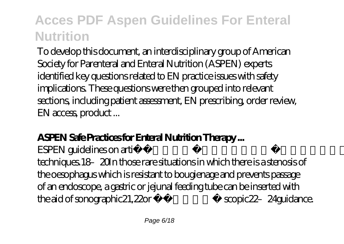To develop this document, an interdisciplinary group of American Society for Parenteral and Enteral Nutrition (ASPEN) experts identified key questions related to EN practice issues with safety implications. These questions were then grouped into relevant sections, including patient assessment, EN prescribing, order review, EN access, product ...

#### **ASPEN Safe Practices for Enteral Nutrition Therapy ...**

ESPEN guidelines on artificial enteral nutrition 849 techniques.18–20In those rare situations in which there is a stenosis of the oesophagus which is resistant to bougienage and prevents passage of an endoscope, a gastric or jejunal feeding tube can be inserted with the aid of sonographic21, 22or fluoro- scopic22-24guidance.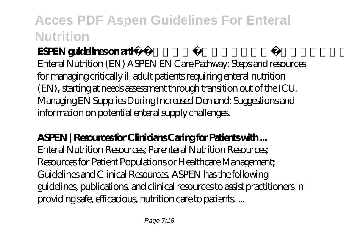### **ESPEN guidelines on artificial enteral nutrition...**

Enteral Nutrition (EN) ASPEN EN Care Pathway: Steps and resources for managing critically ill adult patients requiring enteral nutrition (EN), starting at needs assessment through transition out of the ICU. Managing EN Supplies During Increased Demand: Suggestions and information on potential enteral supply challenges.

#### **ASPEN | Resources for Clinicians Caring for Patients with ...**

Enteral Nutrition Resources; Parenteral Nutrition Resources; Resources for Patient Populations or Healthcare Management; Guidelines and Clinical Resources. ASPEN has the following guidelines, publications, and clinical resources to assist practitioners in providing safe, efficacious, nutrition care to patients. ...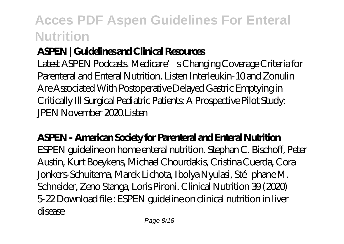### **ASPEN | Guidelines and Clinical Resources**

Latest ASPEN Podcasts. Medicare's Changing Coverage Criteria for Parenteral and Enteral Nutrition. Listen Interleukin-10 and Zonulin Are Associated With Postoperative Delayed Gastric Emptying in Critically Ill Surgical Pediatric Patients: A Prospective Pilot Study:  $PEN November 20201$  isten

**ASPEN - American Society for Parenteral and Enteral Nutrition** ESPEN guideline on home enteral nutrition. Stephan C. Bischoff, Peter Austin, Kurt Boeykens, Michael Chourdakis, Cristina Cuerda, Cora Jonkers-Schuitema, Marek Lichota, Ibolya Nyulasi, Stéphane M. Schneider, Zeno Stanga, Loris Pironi. Clinical Nutrition 39 (2020) 5-22 Download file : ESPEN guideline on clinical nutrition in liver disease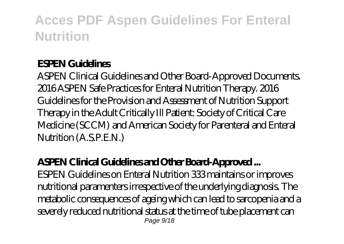#### **ESPEN Guidelines**

ASPEN Clinical Guidelines and Other Board-Approved Documents. 2016 ASPEN Safe Practices for Enteral Nutrition Therapy. 2016 Guidelines for the Provision and Assessment of Nutrition Support Therapy in the Adult Critically Ill Patient: Society of Critical Care Medicine (SCCM) and American Society for Parenteral and Enteral Nutrition (A.S.P.E.N.)

#### **ASPEN Clinical Guidelines and Other Board-Approved ...**

ESPEN Guidelines on Enteral Nutrition 333 maintains or improves nutritional paramenters irrespective of the underlying diagnosis. The metabolic consequences of ageing which can lead to sarcopenia and a severely reduced nutritional status at the time of tube placement can Page  $9/18$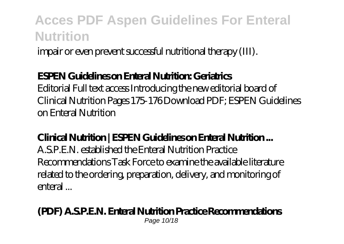impair or even prevent successful nutritional therapy (III).

#### **ESPEN Guidelines on Enteral Nutrition: Geriatrics**

Editorial Full text access Introducing the new editorial board of Clinical Nutrition Pages 175-176 Download PDF; ESPEN Guidelines on Enteral Nutrition

#### **Clinical Nutrition | ESPEN Guidelines on Enteral Nutrition ...**

A.S.P.E.N. established the Enteral Nutrition Practice Recommendations Task Force to examine the available literature related to the ordering, preparation, delivery, and monitoring of enteral ...

#### **(PDF) A.S.P.E.N. Enteral Nutrition Practice Recommendations** Page 10/18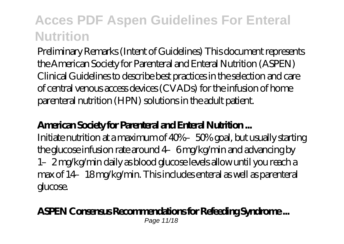Preliminary Remarks (Intent of Guidelines) This document represents the American Society for Parenteral and Enteral Nutrition (ASPEN) Clinical Guidelines to describe best practices in the selection and care of central venous access devices (CVADs) for the infusion of home parenteral nutrition (HPN) solutions in the adult patient.

#### **American Society for Parenteral and Enteral Nutrition ...**

Initiate nutrition at a maximum of 40%–50% goal, but usually starting the glucose infusion rate around 4–6 mg/kg/min and advancing by 1–2 mg/kg/min daily as blood glucose levels allow until you reach a max of 14–18 mg/kg/min. This includes enteral as well as parenteral glucose.

#### **ASPEN Consensus Recommendations for Refeeding Syndrome ...**

Page 11/18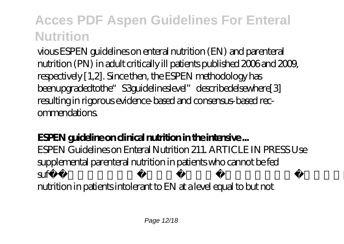vious ESPEN guidelines on enteral nutrition (EN) and parenteral nutrition (PN) in adult critically ill patients published 2006 and 2009, respectively [1,2]. Since then, the ESPEN methodology has beenupgradedtothe" S3guidelineslevel" describedelsewhere[3] resulting in rigorous evidence-based and consensus-based recommendations.

#### **ESPEN guideline on clinical nutrition in the intensive ...**

ESPEN Guidelines on Enteral Nutrition 211. ARTICLE IN PRESS Use supplemental parenteral nutrition in patients who cannot be fed sufficiently via the enteral route. C8 Consider careful parenteral nutrition in patients intolerant to EN at a level equal to but not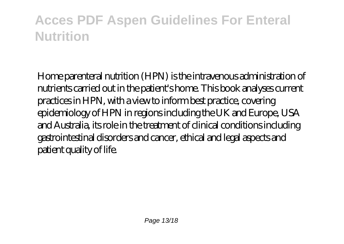Home parenteral nutrition (HPN) is the intravenous administration of nutrients carried out in the patient's home. This book analyses current practices in HPN, with a view to inform best practice, covering epidemiology of HPN in regions including the UK and Europe, USA and Australia, its role in the treatment of clinical conditions including gastrointestinal disorders and cancer, ethical and legal aspects and patient quality of life.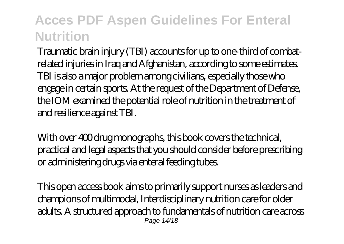Traumatic brain injury (TBI) accounts for up to one-third of combatrelated injuries in Iraq and Afghanistan, according to some estimates. TBI is also a major problem among civilians, especially those who engage in certain sports. At the request of the Department of Defense, the IOM examined the potential role of nutrition in the treatment of and resilience against TBI.

With over 400 drug monographs, this book covers the technical, practical and legal aspects that you should consider before prescribing or administering drugs via enteral feeding tubes.

This open access book aims to primarily support nurses as leaders and champions of multimodal, Interdisciplinary nutrition care for older adults. A structured approach to fundamentals of nutrition care across Page 14/18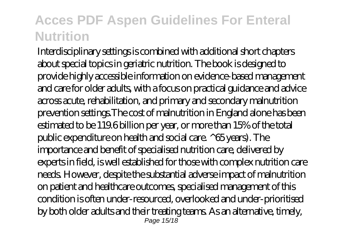Interdisciplinary settings is combined with additional short chapters about special topics in geriatric nutrition. The book is designed to provide highly accessible information on evidence-based management and care for older adults, with a focus on practical guidance and advice across acute, rehabilitation, and primary and secondary malnutrition prevention settings.The cost of malnutrition in England alone has been estimated to be 119.6 billion per year, or more than 15% of the total public expenditure on health and social care. ^65 years). The importance and benefit of specialised nutrition care, delivered by experts in field, is well established for those with complex nutrition care needs. However, despite the substantial adverse impact of malnutrition on patient and healthcare outcomes, specialised management of this condition is often under-resourced, overlooked and under-prioritised by both older adults and their treating teams. As an alternative, timely, Page 15/18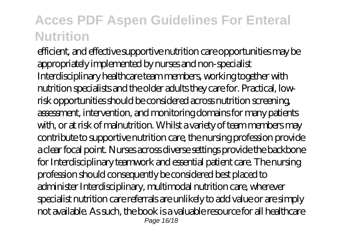efficient, and effective supportive nutrition care opportunities may be appropriately implemented by nurses and non-specialist Interdisciplinary healthcare team members, working together with nutrition specialists and the older adults they care for. Practical, lowrisk opportunities should be considered across nutrition screening, assessment, intervention, and monitoring domains for many patients with, or at risk of malnutrition. Whilst a variety of team members may contribute to supportive nutrition care, the nursing profession provide a clear focal point. Nurses across diverse settings provide the backbone for Interdisciplinary teamwork and essential patient care. The nursing profession should consequently be considered best placed to administer Interdisciplinary, multimodal nutrition care, wherever specialist nutrition care referrals are unlikely to add value or are simply not available. As such, the book is a valuable resource for all healthcare Page 16/18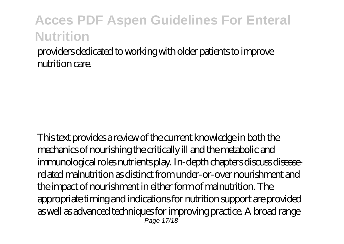providers dedicated to working with older patients to improve nutrition care.

This text provides a review of the current knowledge in both the mechanics of nourishing the critically ill and the metabolic and immunological roles nutrients play. In-depth chapters discuss diseaserelated malnutrition as distinct from under-or-over nourishment and the impact of nourishment in either form of malnutrition. The appropriate timing and indications for nutrition support are provided as well as advanced techniques for improving practice. A broad range **Page 17/18**